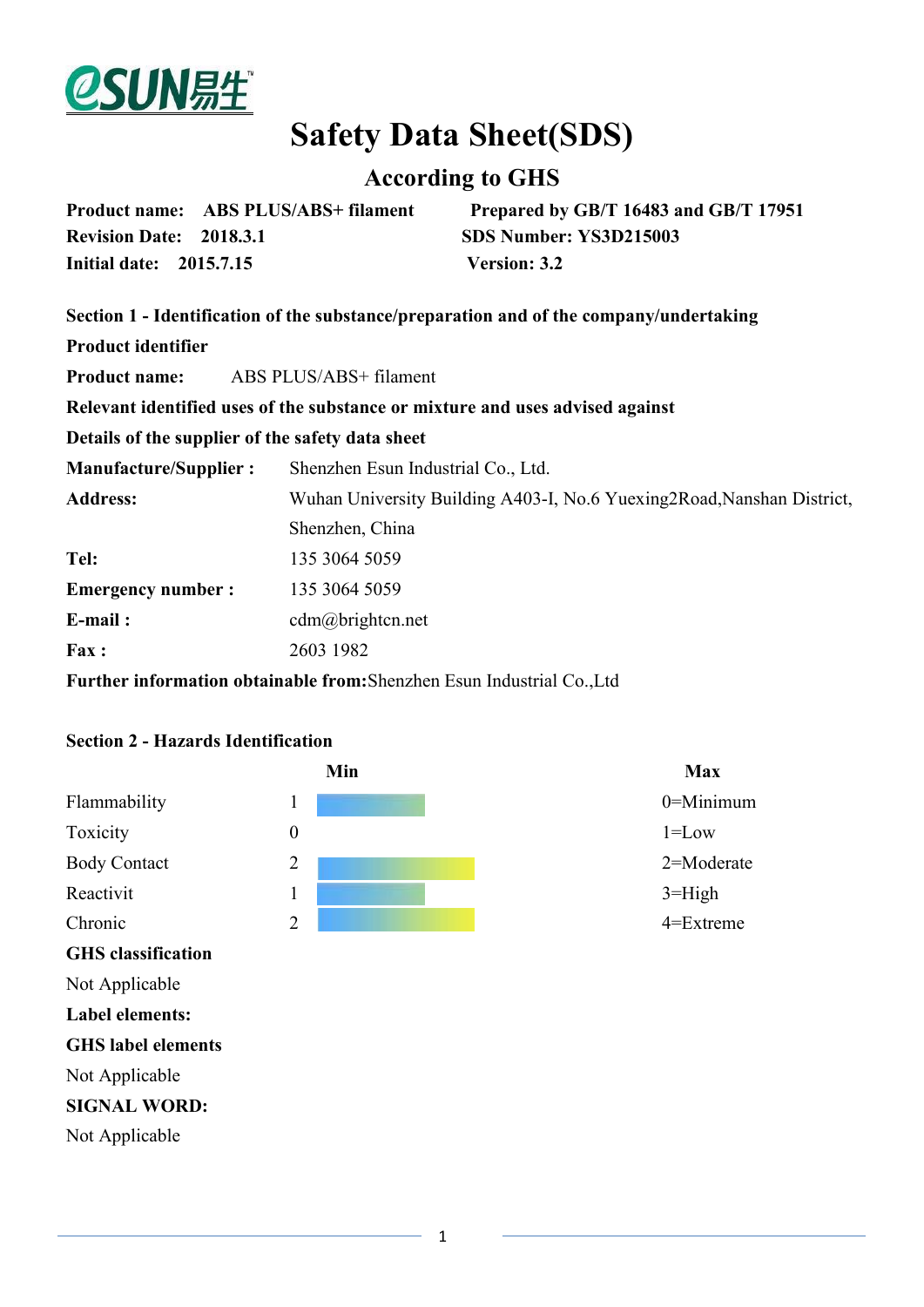

# **Safety Data Sheet(SDS)**

# **According to GHS**

|                                | Product name: ABS PLUS/ABS+ filament | Prepared by GB/T 16483 and GB/T 17951 |
|--------------------------------|--------------------------------------|---------------------------------------|
| <b>Revision Date: 2018.3.1</b> |                                      | SDS Number: YS3D215003                |
| Initial date: 2015.7.15        |                                      | <b>Version: 3.2</b>                   |

|                              | Section 1 - Identification of the substance/preparation and of the company/undertaking |
|------------------------------|----------------------------------------------------------------------------------------|
| <b>Product identifier</b>    |                                                                                        |
| <b>Product name:</b>         | ABS PLUS/ABS+ filament                                                                 |
|                              | Relevant identified uses of the substance or mixture and uses advised against          |
|                              | Details of the supplier of the safety data sheet                                       |
| <b>Manufacture/Supplier:</b> | Shenzhen Esun Industrial Co., Ltd.                                                     |
| <b>Address:</b>              | Wuhan University Building A403-I, No.6 Yuexing 2Road, Nanshan District,                |
|                              | Shenzhen, China                                                                        |
| Tel:                         | 135 3064 5059                                                                          |
| <b>Emergency number:</b>     | 135 3064 5059                                                                          |
| $E$ -mail:                   | $cdm(a)$ brightcn.net                                                                  |
| Fax:                         | 2603 1982                                                                              |
|                              | <b>Further information obtainable from:</b> Shenzhen Esun Industrial Co., Ltd          |

#### **Section 2 - Hazards Identification**

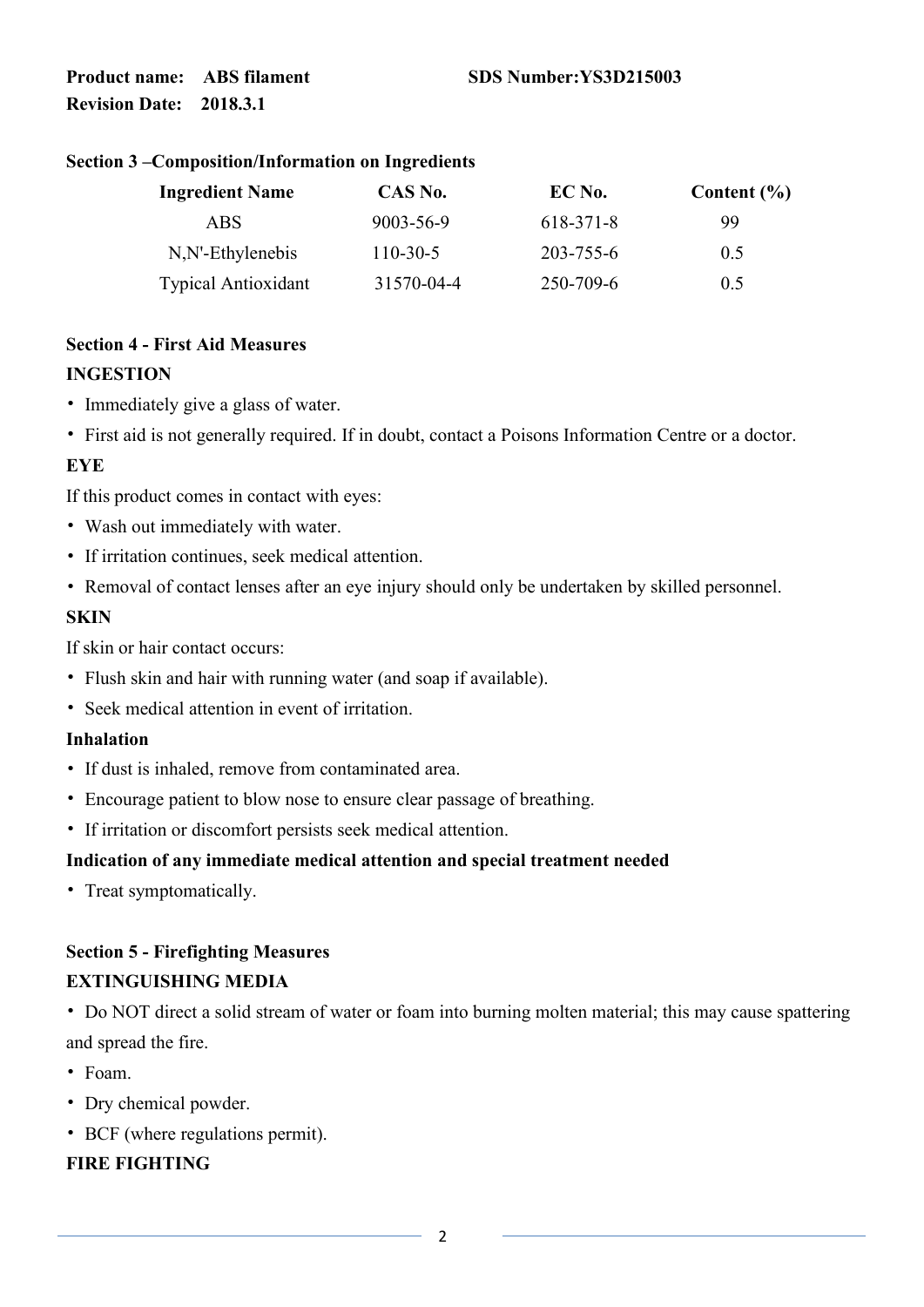#### **Section 3 –Composition/Information on Ingredients**

| <b>Ingredient Name</b>     | CAS No.    | EC No.    | Content $(\% )$ |  |
|----------------------------|------------|-----------|-----------------|--|
| ABS                        | 9003-56-9  | 618-371-8 | 99              |  |
| $N, N$ -Ethylenebis        | $110-30-5$ | 203-755-6 | 0.5             |  |
| <b>Typical Antioxidant</b> | 31570-04-4 | 250-709-6 | 0.5             |  |

# **Section 4 - First Aid Measures**

#### **INGESTION**

- Immediately give a glass of water.
- First aid is not generally required. If in doubt, contact a Poisons Information Centre or a doctor.

#### **EYE**

If this product comes in contact with eyes:

- Wash out immediately with water.
- If irritation continues, seek medical attention.
- Removal of contact lenses after an eye injury should only be undertaken by skilled personnel.

#### **SKIN**

If skin or hair contact occurs:

- Flush skin and hair with running water (and soap if available).
- Seek medical attention in event of irritation.

#### **Inhalation**

- If dust is inhaled, remove from contaminated area.
- Encourage patient to blow nose to ensure clear passage of breathing.
- If irritation or discomfort persists seek medical attention.

# **Indication of any immediate medical attention and special treatment needed**

• Treat symptomatically.

# **Section 5 - Firefighting Measures EXTINGUISHING MEDIA**

• Do NOT direct a solid stream of water or foam into burning molten material; this may cause spattering and spread the fire.

- Foam.
- Dry chemical powder.
- BCF (where regulations permit).

# **FIRE FIGHTING**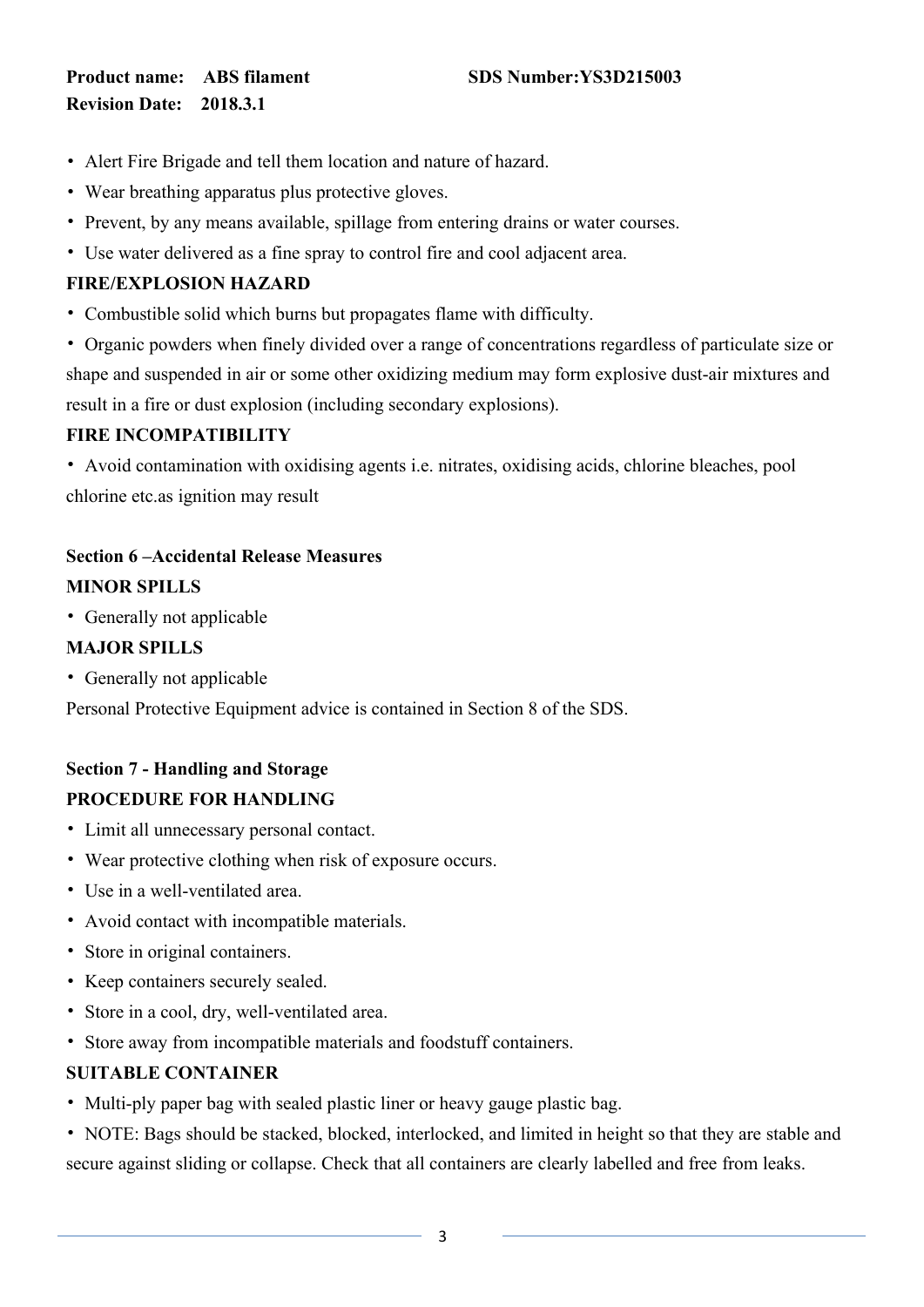- Alert Fire Brigade and tell them location and nature of hazard.
- Wear breathing apparatus plus protective gloves.
- Prevent, by any means available, spillage from entering drains or water courses.
- Use water delivered as a fine spray to control fire and cool adjacent area.

#### **FIRE/EXPLOSION HAZARD**

- Combustible solid which burns but propagates flame with difficulty.
- Organic powders when finely divided over a range of concentrations regardless of particulate size or shape and suspended in air or some other oxidizing medium may form explosive dust-air mixtures and result in a fire or dust explosion (including secondary explosions).

# **FIRE INCOMPATIBILITY**

• Avoid contamination with oxidising agents i.e. nitrates, oxidising acids, chlorine bleaches, pool chlorine etc.as ignition may result

# **Section 6 –Accidental Release Measures MINOR SPILLS**

• Generally not applicable

# **MAJOR SPILLS**

• Generally not applicable

Personal Protective Equipment advice is contained in Section 8 of the SDS.

# **Section 7 - Handling and Storage PROCEDURE FOR HANDLING**

- Limit all unnecessary personal contact.
- Wear protective clothing when risk of exposure occurs.
- Use in a well-ventilated area.
- Avoid contact with incompatible materials.
- Store in original containers.
- Keep containers securely sealed.
- Store in a cool, dry, well-ventilated area.
- Store away from incompatible materials and foodstuff containers.

# **SUITABLE CONTAINER**

- Multi-ply paper bag with sealed plastic liner or heavy gauge plastic bag.
- NOTE: Bags should be stacked, blocked, interlocked, and limited in height so that they are stable and secure against sliding or collapse. Check that all containers are clearly labelled and free from leaks.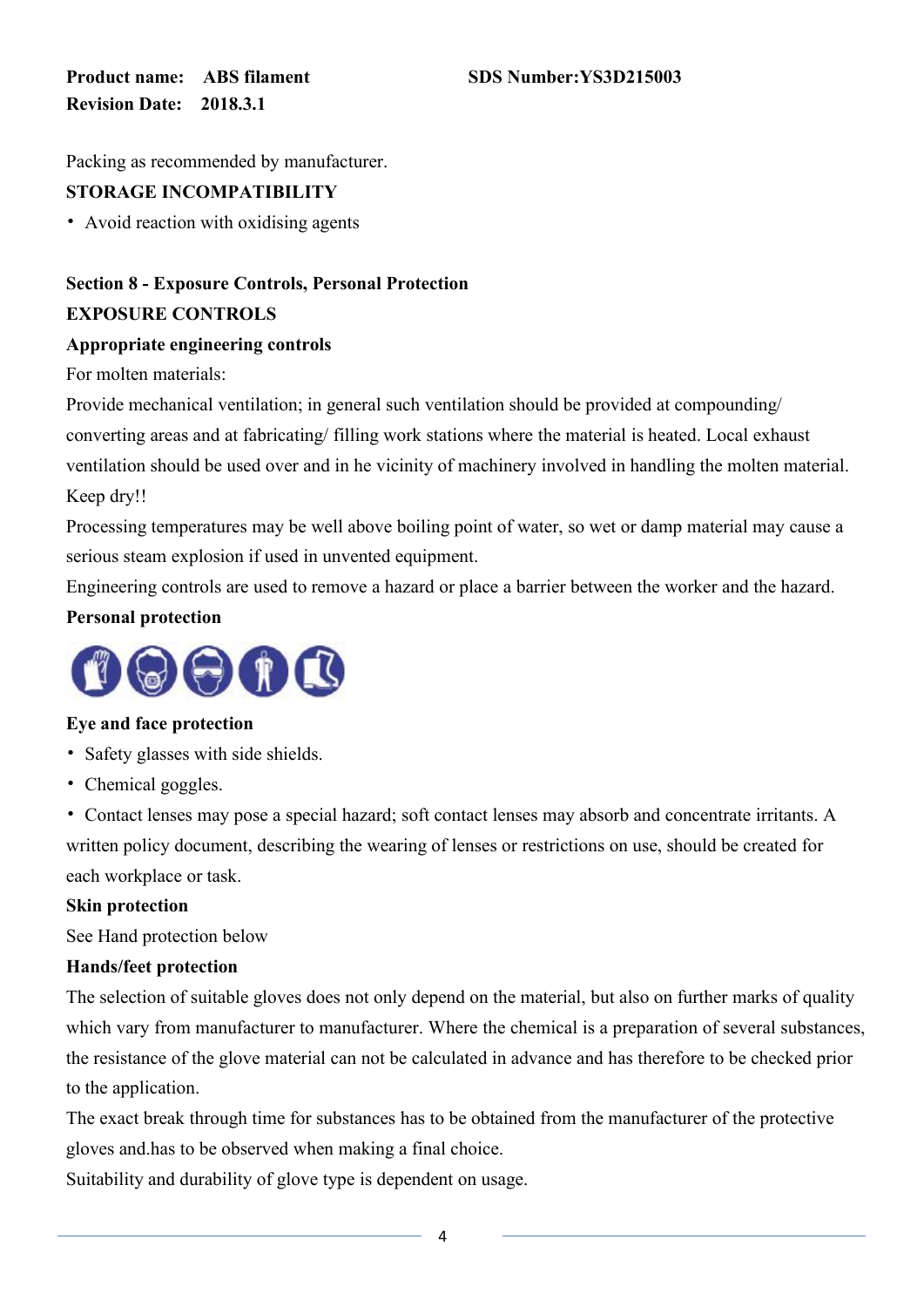Packing as recommended by manufacturer.

# **STORAGE INCOMPATIBILITY**

• Avoid reaction with oxidising agents

# **Section 8 - Exposure Controls, Personal Protection EXPOSURE CONTROLS**

#### **Appropriate engineering controls**

For molten materials:

Provide mechanical ventilation; in general such ventilation should be provided at compounding/ converting areas and at fabricating/ filling work stations where the material is heated. Local exhaust ventilation should be used over and in he vicinity of machinery involved in handling the molten material. Keep dry!!

Processing temperatures may be well above boiling point of water, so wet or damp material may cause a serious steam explosion if used in unvented equipment.

Engineering controls are used to remove a hazard or place a barrier between the worker and the hazard.

# **Personal protection**



# **Eye and face protection**

- Safety glasses with side shields.
- Chemical goggles.

• Contact lenses may pose a special hazard; soft contact lenses may absorb and concentrate irritants. A written policy document, describing the wearing of lenses or restrictions on use, should be created for each workplace or task.

#### **Skin protection**

See Hand protection below

# **Hands/feet protection**

The selection of suitable gloves does not only depend on the material, but also on further marks of quality which vary from manufacturer to manufacturer. Where the chemical is a preparation of several substances, the resistance of the glove material can not be calculated in advance and has therefore to be checked prior to the application.

The exact break through time for substances has to be obtained from the manufacturer of the protective gloves and.has to be observed when making a final choice.

Suitability and durability of glove type is dependent on usage.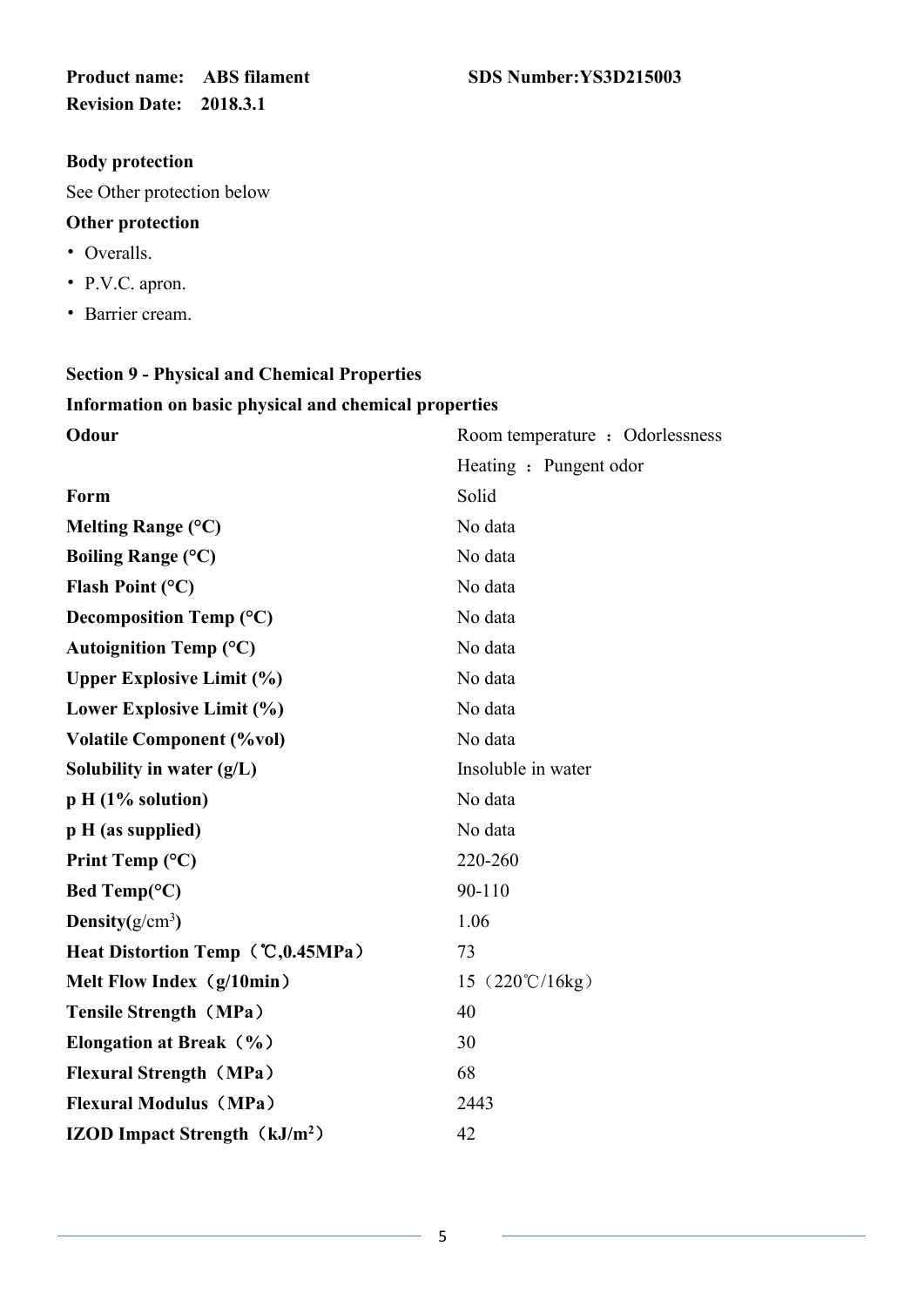#### **Body protection**

See Other protection below

#### **Other protection**

- Overalls.
- P.V.C. apron.
- Barrier cream.

# **Section 9 - Physical and Chemical Properties Information on basic physical and chemical properties**

| Odour                                     | Room temperature : Odorlessness        |
|-------------------------------------------|----------------------------------------|
|                                           | Heating: Pungent odor                  |
| Form                                      | Solid                                  |
| Melting Range (°C)                        | No data                                |
| <b>Boiling Range (°C)</b>                 | No data                                |
| Flash Point $(^{\circ}C)$                 | No data                                |
| Decomposition Temp (°C)                   | No data                                |
| <b>Autoignition Temp (°C)</b>             | No data                                |
| <b>Upper Explosive Limit (%)</b>          | No data                                |
| Lower Explosive Limit (%)                 | No data                                |
| <b>Volatile Component (%vol)</b>          | No data                                |
| Solubility in water $(g/L)$               | Insoluble in water                     |
| p H (1% solution)                         | No data                                |
| p H (as supplied)                         | No data                                |
| Print Temp $(^{\circ}C)$                  | 220-260                                |
| Bed Temp( ${}^{\circ}C$ )                 | 90-110                                 |
| Density $(g/cm^3)$                        | 1.06                                   |
| Heat Distortion Temp (°C,0.45MPa)         | 73                                     |
| Melt Flow Index (g/10min)                 | 15 $(220^{\circ}\text{C}/16\text{kg})$ |
| <b>Tensile Strength (MPa)</b>             | 40                                     |
| Elongation at Break (%)                   | 30                                     |
| <b>Flexural Strength (MPa)</b>            | 68                                     |
| <b>Flexural Modulus (MPa)</b>             | 2443                                   |
| IZOD Impact Strength (kJ/m <sup>2</sup> ) | 42                                     |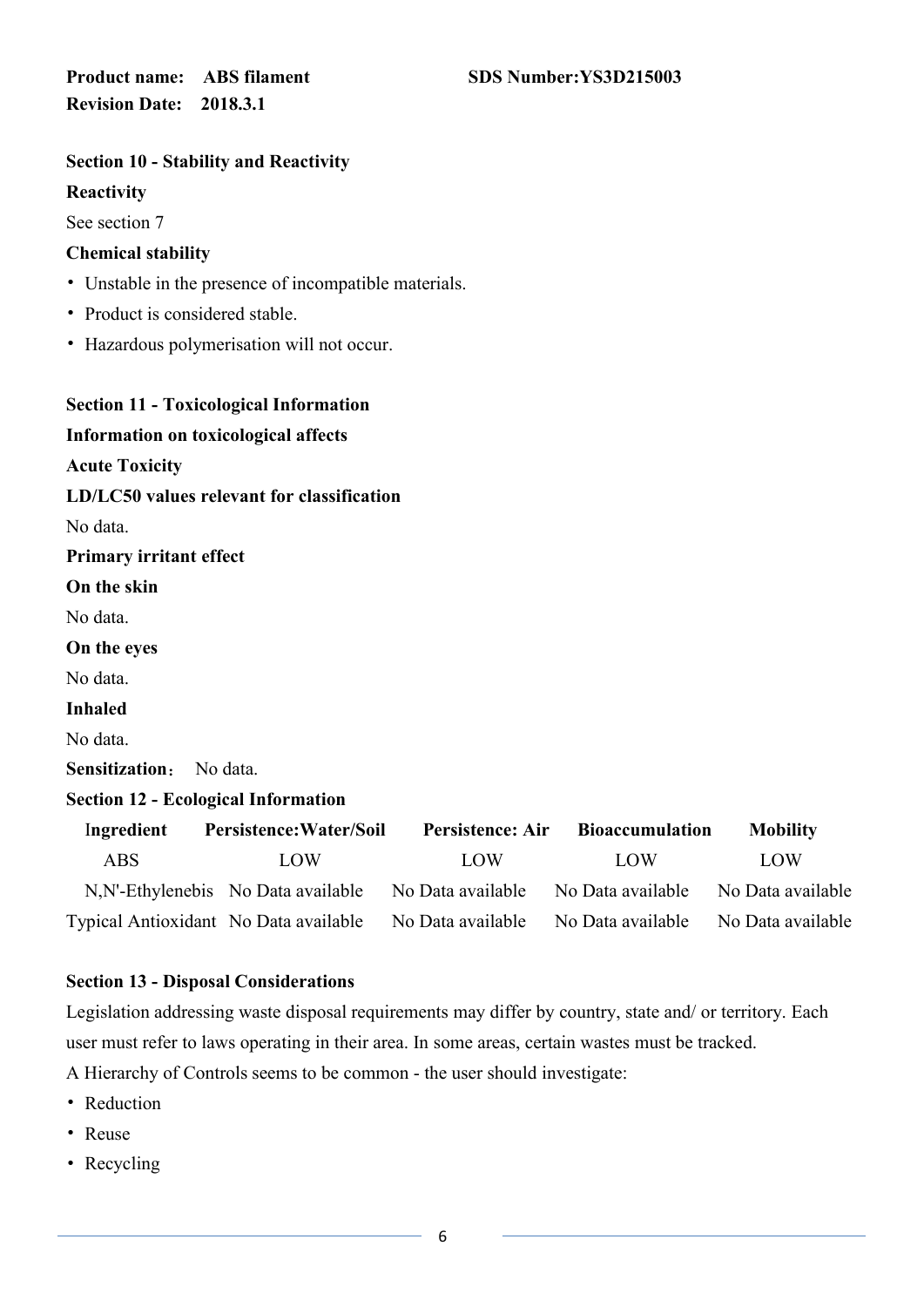#### **Section 10 - Stability and Reactivity**

#### **Reactivity**

See section 7

#### **Chemical stability**

- Unstable in the presence of incompatible materials.
- Product is considered stable.
- Hazardous polymerisation will not occur.

| <b>Section 11 - Toxicological Information</b> |                                            |                         |                        |                   |
|-----------------------------------------------|--------------------------------------------|-------------------------|------------------------|-------------------|
| <b>Information on toxicological affects</b>   |                                            |                         |                        |                   |
| <b>Acute Toxicity</b>                         |                                            |                         |                        |                   |
|                                               | LD/LC50 values relevant for classification |                         |                        |                   |
| No data.                                      |                                            |                         |                        |                   |
| Primary irritant effect                       |                                            |                         |                        |                   |
| On the skin                                   |                                            |                         |                        |                   |
| No data.                                      |                                            |                         |                        |                   |
| On the eyes                                   |                                            |                         |                        |                   |
| No data.                                      |                                            |                         |                        |                   |
| <b>Inhaled</b>                                |                                            |                         |                        |                   |
| No data.                                      |                                            |                         |                        |                   |
| Sensitization:                                | No data.                                   |                         |                        |                   |
| <b>Section 12 - Ecological Information</b>    |                                            |                         |                        |                   |
| Ingredient                                    | Persistence: Water/Soil                    | <b>Persistence: Air</b> | <b>Bioaccumulation</b> | <b>Mobility</b>   |
| <b>ABS</b>                                    | LOW                                        | LOW                     | LOW                    | LOW               |
|                                               | N, N'-Ethylenebis No Data available        | No Data available       | No Data available      | No Data available |
| Typical Antioxidant No Data available         |                                            | No Data available       | No Data available      | No Data available |
|                                               |                                            |                         |                        |                   |

#### **Section 13 - Disposal Considerations**

Legislation addressing waste disposal requirements may differ by country, state and/ or territory. Each user must refer to laws operating in their area. In some areas, certain wastes must be tracked.

A Hierarchy of Controls seems to be common - the user should investigate:

- Reduction
- Reuse
- Recycling